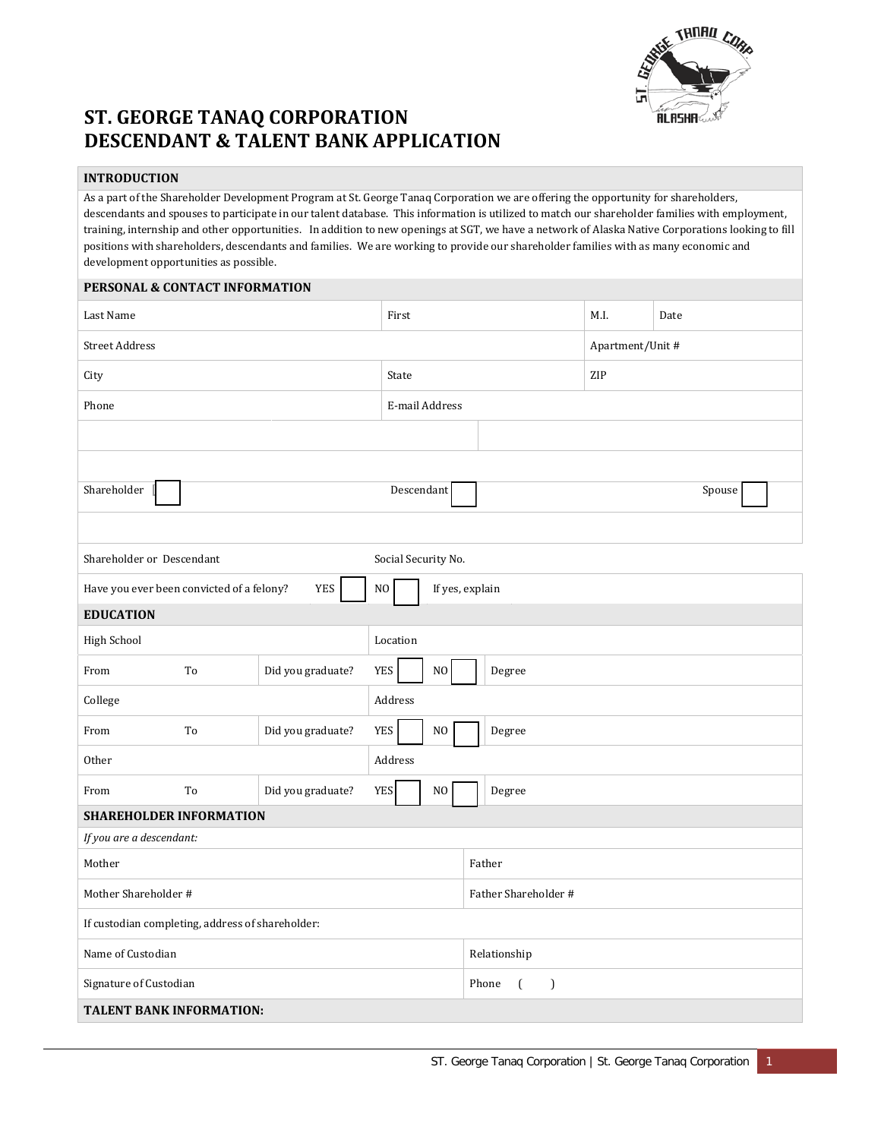

# **ST. GEORGE TANAQ CORPORATION DESCENDANT & TALENT BANK APPLICATION**

## **INTRODUCTION**

As a part of the Shareholder Development Program at St. George Tanaq Corporation we are offering the opportunity for shareholders, descendants and spouses to participate in our talent database. This information is utilized to match our shareholder families with employment, training, internship and other opportunities. In addition to new openings at SGT, we have a network of Alaska Native Corporations looking to fill positions with shareholders, descendants and families. We are working to provide our shareholder families with as many economic and development opportunities as possible.

### **PERSONAL & CONTACT INFORMATION**

| Last Name                                                           |    |                   |                                        | First          |              |                                    |                      |  | M.I. | Date   |  |
|---------------------------------------------------------------------|----|-------------------|----------------------------------------|----------------|--------------|------------------------------------|----------------------|--|------|--------|--|
| <b>Street Address</b>                                               |    |                   |                                        |                |              |                                    | Apartment/Unit #     |  |      |        |  |
| City                                                                |    |                   |                                        |                | State        |                                    |                      |  | ZIP  |        |  |
| Phone                                                               |    |                   |                                        | E-mail Address |              |                                    |                      |  |      |        |  |
|                                                                     |    |                   |                                        |                |              |                                    |                      |  |      |        |  |
|                                                                     |    |                   |                                        |                |              |                                    |                      |  |      |        |  |
| Shareholder                                                         |    |                   |                                        |                | Descendant   |                                    |                      |  |      | Spouse |  |
|                                                                     |    |                   |                                        |                |              |                                    |                      |  |      |        |  |
| Shareholder or Descendant<br>Social Security No.                    |    |                   |                                        |                |              |                                    |                      |  |      |        |  |
| <b>YES</b><br>$\rm NO$<br>Have you ever been convicted of a felony? |    |                   |                                        |                |              | If yes, explain                    |                      |  |      |        |  |
| <b>EDUCATION</b>                                                    |    |                   |                                        |                |              |                                    |                      |  |      |        |  |
| High School                                                         |    |                   | Location                               |                |              |                                    |                      |  |      |        |  |
| From                                                                | To | Did you graduate? | <b>YES</b><br>$_{\rm NO}$<br>Degree    |                |              |                                    |                      |  |      |        |  |
| College                                                             |    |                   | Address                                |                |              |                                    |                      |  |      |        |  |
| From                                                                | To | Did you graduate? | <b>YES</b><br>NO<br>Degree             |                |              |                                    |                      |  |      |        |  |
| Other                                                               |    |                   | Address                                |                |              |                                    |                      |  |      |        |  |
| From                                                                | To | Did you graduate? | <b>YES</b><br>N <sub>O</sub><br>Degree |                |              |                                    |                      |  |      |        |  |
| <b>SHAREHOLDER INFORMATION</b>                                      |    |                   |                                        |                |              |                                    |                      |  |      |        |  |
| If you are a descendant:                                            |    |                   |                                        |                |              |                                    |                      |  |      |        |  |
| Mother                                                              |    |                   |                                        |                |              | Father                             |                      |  |      |        |  |
| Mother Shareholder #                                                |    |                   |                                        |                |              |                                    | Father Shareholder # |  |      |        |  |
| If custodian completing, address of shareholder:                    |    |                   |                                        |                |              |                                    |                      |  |      |        |  |
| Name of Custodian                                                   |    |                   |                                        |                | Relationship |                                    |                      |  |      |        |  |
| Signature of Custodian                                              |    |                   |                                        |                |              | Phone<br>$\left($<br>$\mathcal{L}$ |                      |  |      |        |  |
| <b>TALENT BANK INFORMATION:</b>                                     |    |                   |                                        |                |              |                                    |                      |  |      |        |  |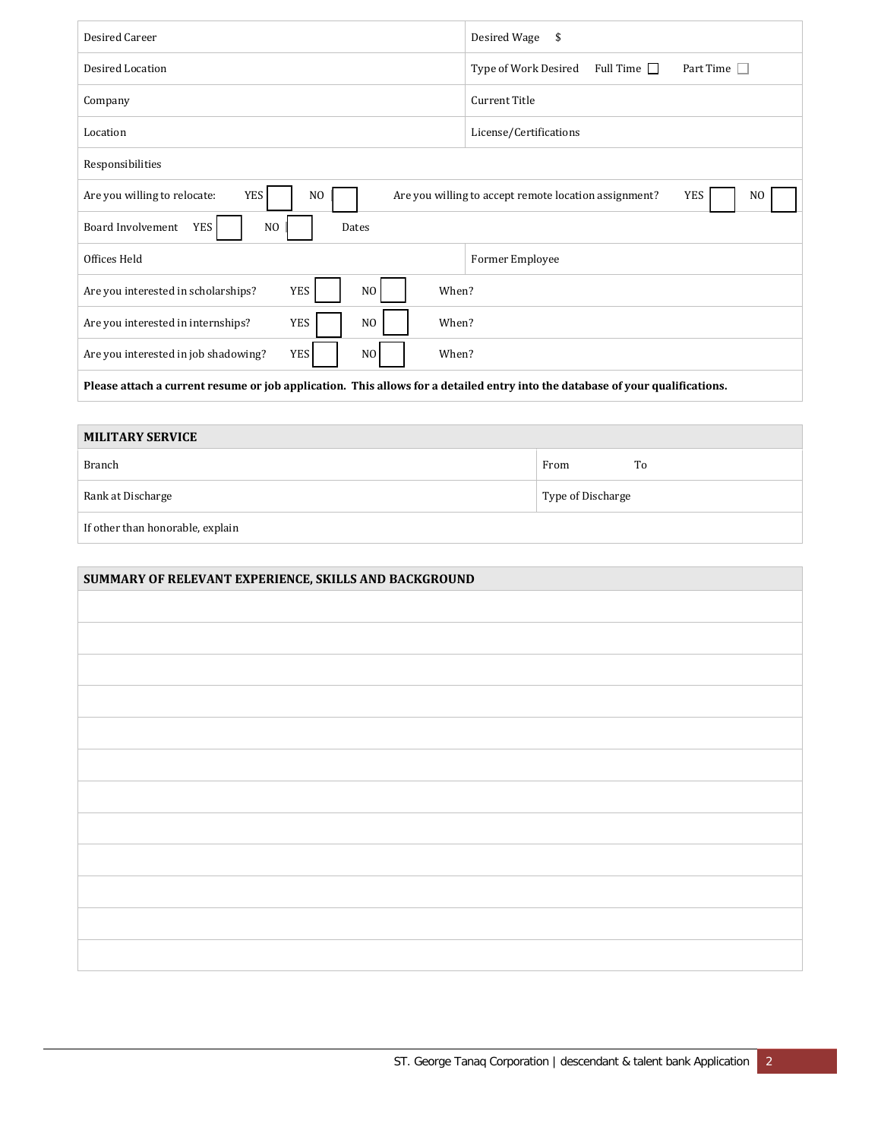| Desired Career                                                                                                                | Desired Wage<br>\$                                                             |  |  |  |  |  |
|-------------------------------------------------------------------------------------------------------------------------------|--------------------------------------------------------------------------------|--|--|--|--|--|
| Desired Location                                                                                                              | Part Time $\Box$<br>Full Time $\Box$<br>Type of Work Desired                   |  |  |  |  |  |
| Company                                                                                                                       | Current Title                                                                  |  |  |  |  |  |
| Location                                                                                                                      | License/Certifications                                                         |  |  |  |  |  |
| Responsibilities                                                                                                              |                                                                                |  |  |  |  |  |
| YES <sup></sup><br>Are you willing to relocate:<br>N <sub>O</sub>                                                             | YES<br>Are you willing to accept remote location assignment?<br>N <sub>0</sub> |  |  |  |  |  |
| <b>Board Involvement</b><br>YES<br>NO.<br>Dates                                                                               |                                                                                |  |  |  |  |  |
| Offices Held                                                                                                                  | Former Employee                                                                |  |  |  |  |  |
| <b>YES</b><br>N <sub>O</sub><br>When?<br>Are you interested in scholarships?                                                  |                                                                                |  |  |  |  |  |
| <b>YES</b><br>N <sub>O</sub><br>When?<br>Are you interested in internships?                                                   |                                                                                |  |  |  |  |  |
| <b>YES</b><br>N <sub>O</sub><br>When?<br>Are you interested in job shadowing?                                                 |                                                                                |  |  |  |  |  |
| Please attach a current resume or job application. This allows for a detailed entry into the database of your qualifications. |                                                                                |  |  |  |  |  |

# **MILITARY SERVICE** Branch To and the set of the set of the set of the set of the set of the set of the set of the set of the set of the set of the set of the set of the set of the set of the set of the set of the set of the set of the set of Rank at Discharge Type of Discharge Type of Discharge If other than honorable, explain

| SUMMARY OF RELEVANT EXPERIENCE, SKILLS AND BACKGROUND |  |  |  |  |  |
|-------------------------------------------------------|--|--|--|--|--|
|                                                       |  |  |  |  |  |
|                                                       |  |  |  |  |  |
|                                                       |  |  |  |  |  |
|                                                       |  |  |  |  |  |
|                                                       |  |  |  |  |  |
|                                                       |  |  |  |  |  |
|                                                       |  |  |  |  |  |
|                                                       |  |  |  |  |  |
|                                                       |  |  |  |  |  |
|                                                       |  |  |  |  |  |
|                                                       |  |  |  |  |  |
|                                                       |  |  |  |  |  |
|                                                       |  |  |  |  |  |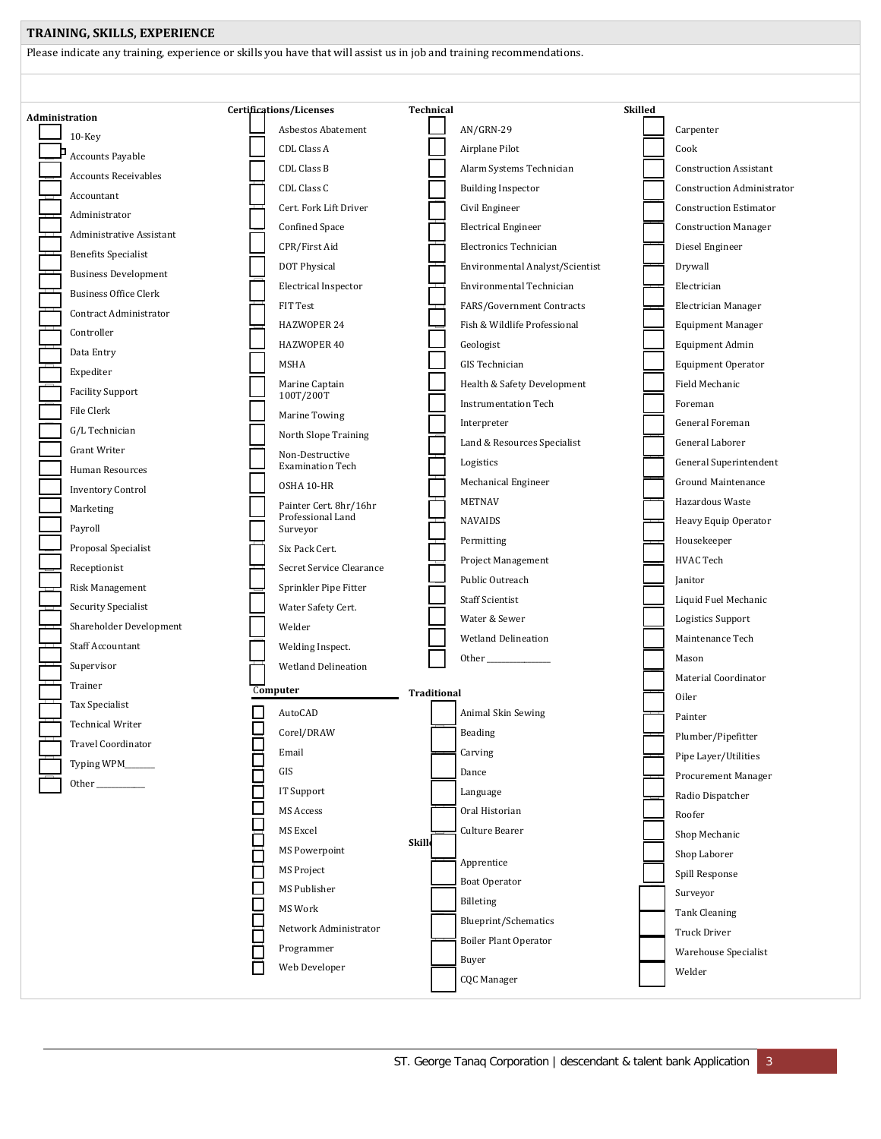## **TRAINING, SKILLS, EXPERIENCE**

Please indicate any training, experience or skills you have that will assist us in job and training recommendations.

| Administration |                              |                          | Certifications/Licenses                    |              | <b>Technical</b>   |                                 | <b>Skilled</b> |                                   |
|----------------|------------------------------|--------------------------|--------------------------------------------|--------------|--------------------|---------------------------------|----------------|-----------------------------------|
|                | $10$ -Key                    |                          | <b>Asbestos Abatement</b>                  |              |                    | AN/GRN-29                       |                | Carpenter                         |
|                | Accounts Payable             |                          | CDL Class A                                |              |                    | Airplane Pilot                  |                | Cook                              |
|                | <b>Accounts Receivables</b>  |                          | CDL Class B                                |              |                    | Alarm Systems Technician        |                | <b>Construction Assistant</b>     |
|                | Accountant                   |                          | CDL Class C                                |              |                    | <b>Building Inspector</b>       |                | <b>Construction Administrator</b> |
|                | Administrator                |                          | Cert. Fork Lift Driver                     |              |                    | Civil Engineer                  |                | <b>Construction Estimator</b>     |
|                | Administrative Assistant     |                          | Confined Space                             |              |                    | <b>Electrical Engineer</b>      |                | <b>Construction Manager</b>       |
|                | <b>Benefits Specialist</b>   |                          | CPR/First Aid                              |              |                    | Electronics Technician          |                | Diesel Engineer                   |
|                | <b>Business Development</b>  |                          | DOT Physical                               |              |                    | Environmental Analyst/Scientist |                | Drywall                           |
|                | <b>Business Office Clerk</b> |                          | <b>Electrical Inspector</b>                |              |                    | Environmental Technician        |                | Electrician                       |
|                | Contract Administrator       |                          | FIT Test                                   |              |                    | FARS/Government Contracts       |                | <b>Electrician Manager</b>        |
|                | Controller                   |                          | HAZWOPER 24                                |              |                    | Fish & Wildlife Professional    |                | <b>Equipment Manager</b>          |
|                |                              |                          | HAZWOPER 40                                |              |                    | Geologist                       |                | <b>Equipment Admin</b>            |
|                | Data Entry                   |                          | MSHA                                       |              |                    | <b>GIS</b> Technician           |                | Equipment Operator                |
|                | Expediter                    |                          | Marine Captain                             |              |                    | Health & Safety Development     |                | Field Mechanic                    |
|                | <b>Facility Support</b>      |                          | 100T/200T                                  |              |                    | <b>Instrumentation Tech</b>     |                | Foreman                           |
|                | File Clerk                   |                          | Marine Towing                              |              |                    | Interpreter                     |                | General Foreman                   |
|                | G/L Technician               |                          | North Slope Training                       |              |                    | Land & Resources Specialist     |                | General Laborer                   |
|                | <b>Grant Writer</b>          |                          | Non-Destructive<br><b>Examination Tech</b> |              |                    | Logistics                       |                | General Superintendent            |
|                | Human Resources              |                          | OSHA 10-HR                                 |              |                    | Mechanical Engineer             |                | Ground Maintenance                |
|                | <b>Inventory Control</b>     |                          | Painter Cert. 8hr/16hr                     |              |                    | <b>METNAV</b>                   |                | Hazardous Waste                   |
|                | Marketing                    |                          | Professional Land                          |              |                    | <b>NAVAIDS</b>                  |                | Heavy Equip Operator              |
|                | Payroll                      |                          | Surveyor                                   |              |                    | Permitting                      |                | Housekeeper                       |
|                | Proposal Specialist          |                          | Six Pack Cert.                             |              |                    | Project Management              |                | HVAC Tech                         |
|                | Receptionist                 |                          | Secret Service Clearance                   |              |                    | Public Outreach                 |                | Janitor                           |
|                | Risk Management              |                          | Sprinkler Pipe Fitter                      |              |                    | <b>Staff Scientist</b>          |                | Liquid Fuel Mechanic              |
|                | Security Specialist          |                          | Water Safety Cert.                         |              |                    | Water & Sewer                   |                | Logistics Support                 |
|                | Shareholder Development      |                          | Welder                                     |              |                    | <b>Wetland Delineation</b>      |                | Maintenance Tech                  |
|                | <b>Staff Accountant</b>      |                          | Welding Inspect.                           |              |                    |                                 |                | Mason                             |
|                | Supervisor                   |                          | <b>Wetland Delineation</b>                 |              |                    |                                 |                | Material Coordinator              |
|                | Trainer                      | Computer                 |                                            |              | <b>Traditional</b> |                                 |                | Oiler                             |
|                | <b>Tax Specialist</b>        |                          | AutoCAD                                    |              |                    | Animal Skin Sewing              |                | Painter                           |
|                | <b>Technical Writer</b>      |                          | Corel/DRAW                                 |              |                    | Beading                         |                |                                   |
|                | Travel Coordinator           | E                        | Email                                      |              |                    | Carving                         |                | Plumber/Pipefitter                |
|                | Typing WPM_____              | Ξ                        | GIS                                        |              |                    | Dance                           |                | Pipe Layer/Utilities              |
|                |                              | $\Box$                   | IT Support                                 |              |                    | Language                        |                | Procurement Manager               |
|                |                              | $\overline{\phantom{a}}$ | MS Access                                  |              |                    | Oral Historian                  |                | Radio Dispatcher                  |
|                |                              |                          | MS Excel                                   |              |                    | Culture Bearer                  |                | Roofer                            |
|                |                              |                          | MS Powerpoint                              | <b>Skill</b> |                    |                                 |                | Shop Mechanic                     |
|                |                              | 10000                    | MS Project                                 |              |                    | Apprentice                      |                | Shop Laborer                      |
|                |                              | $\Box$                   | MS Publisher                               |              |                    | Boat Operator                   |                | Spill Response                    |
|                |                              |                          |                                            |              |                    | $\rm Billeting$                 |                | Surveyor                          |
|                |                              | 10<br>10<br>10<br>10     | MS Work                                    |              |                    | Blueprint/Schematics            |                | <b>Tank Cleaning</b>              |
|                |                              |                          | Network Administrator                      |              |                    | <b>Boiler Plant Operator</b>    |                | Truck Driver                      |
|                |                              |                          | Programmer                                 |              |                    | Buyer                           |                | Warehouse Specialist              |
|                |                              | Г                        | Web Developer                              |              |                    | <b>CQC</b> Manager              |                | Welder                            |
|                |                              |                          |                                            |              |                    |                                 |                |                                   |